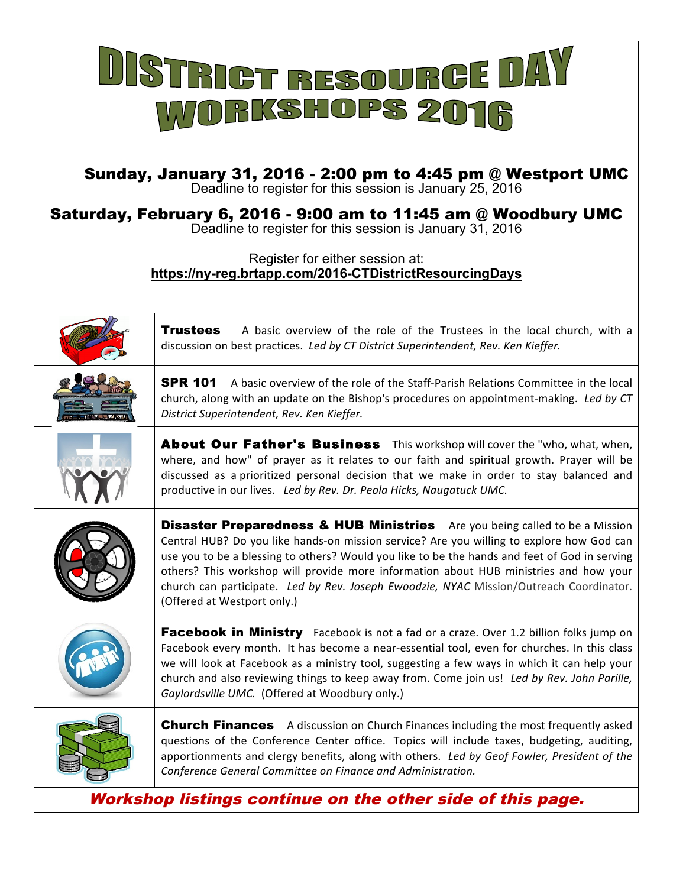

Workshop listings continue on the other side of this page.